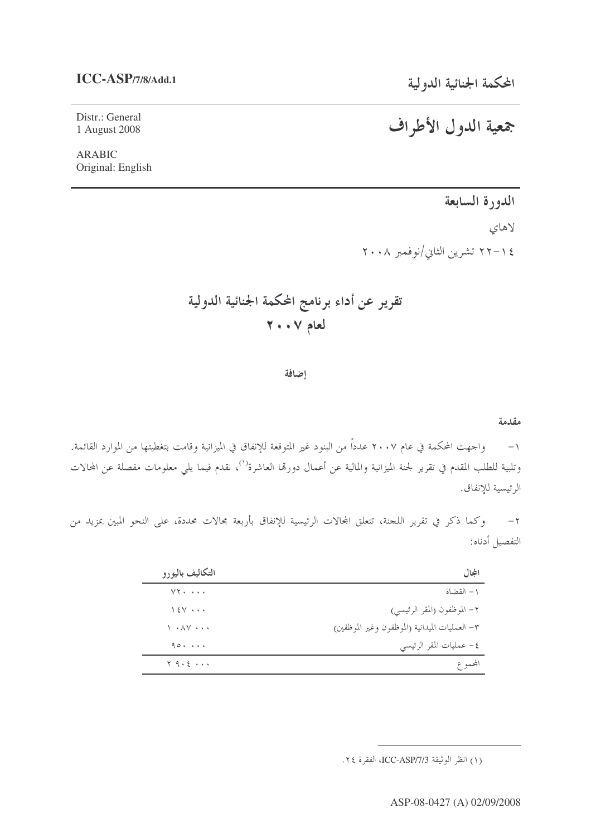## **ICC-ASP/7/8/Add.1**

Distr.: General 1 August 2008

ARABIC Original: English

الدورة السابعة

لاهاي ١٤–٢٢ تشرين الثاني/نوفمبر ٢٠٠٨

- -  ! "#\$ &''( % 

إضافة

### مقدمة

١– واحهت المحكمة في عام ٢٠٠٧ عدداً من البنود غير المتوقعة للإنفاق في الميزانية وقامت بتغطيتها من الموارد القائمة. وتلبية للطلب المقدم في تقرير لجنة الميزانية والمالية عن أعمال دورهّا العاشرة<sup>(١)</sup>، نقدم فيما يلي معلومات مفصلة عن المحالات الرئيسية للإنفاق.

٢– وكما ذكر في تقرير اللجنة، تتعلق المحالات الرئيسية للإنفاق بأربعة مجالات محددة، على النحو المبين بمزيد من التفصيل أدناه:

| التكاليف باليورو                            | المجال                                         |
|---------------------------------------------|------------------------------------------------|
| $VT \cdot \cdot \cdot \cdot$                | ١ – القضاة                                     |
| $15V \cdot \cdot \cdot$                     | ٢- الموظفون (المقر الرئيسي)                    |
| $\lambda \cdot \lambda V \cdot \cdot \cdot$ | ٣- العمليات الميدانية (الموظفون وغير الموظفين) |
| $90.$                                       | ٤- عمليات المقر الرئيسي                        |
| $Y$ 9. $\epsilon$                           | المجموع                                        |

# جمعية الدول الأطراف

<sup>(</sup>١) انظر الوثيقة ICC-ASP/7/3، الفقرة ٢٤.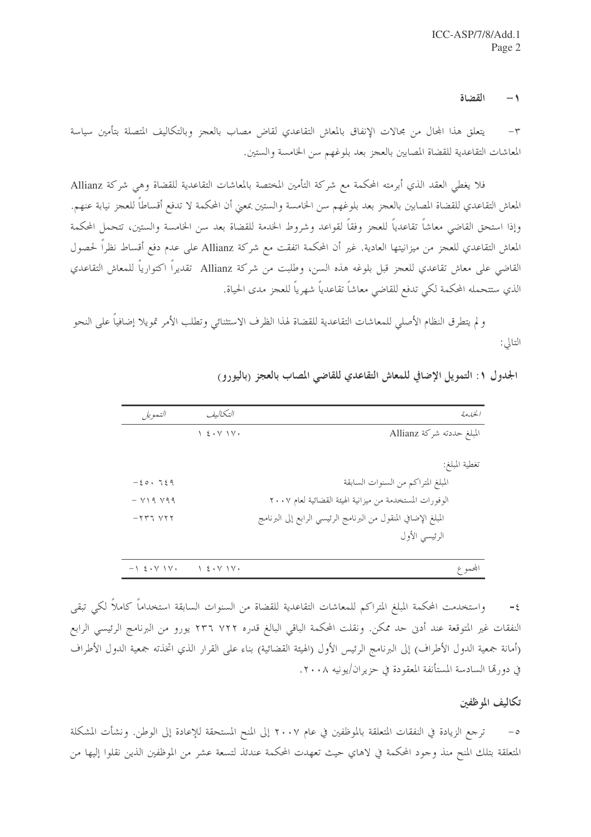#### $-1$ القضاة

يتعلق هذا المحال من مجالات الإنفاق بالمعاش التقاعدي لقاض مصاب بالعجز وبالتكاليف المتصلة بتأمين سياسة  $-\tau$ المعاشات التقاعدية للقضاة المصابين بالعجز بعد بلوغهم سن الخامسة والستين.

فلا يغطي العقد الذي أبرمته المحكمة مع شركة التأمين المختصة بالمعاشات التقاعدية للقضاة وهي شركة Allianz المعاش التقاعدي للقضاة المصابين بالعجز بعد بلوغهم سن الخامسة والستين بمعنى أن المحكمة لا تدفع أقساطاً للعجز نيابة عنهم. وإذا استحق القاضي معاشاً تقاعدياً للعجز وفقاً لقواعد وشروط الخدمة للقضاة بعد سن الخامسة والستين، تتحمل المحكمة المعاش التقاعدي للعجز من ميزانيتها العادية. غير أن المحكمة اتفقت مع شركة Allianz على عدم دفع أقساط نظراً لحصول القاضي على معاش تقاعدي للعجز قبل بلوغه هذه السن، وطلبت من شركة Allianz تقديراً اكتوارياً للمعاش التقاعدي الذي ستتحمله المحكمة لكي تدفع للقاضى معاشاً تقاعدياً شهرياً للعجز مدى الحياة.

و لم يتطرق النظام الأصلي للمعاشات التقاعدية للقضاة لهذا الظرف الاستثنائي وتطلب الأمر تمويلا إضافياً على النحو التالي:

| التمويل                                          | التكاليف                                                | الخيارمة                                                       |
|--------------------------------------------------|---------------------------------------------------------|----------------------------------------------------------------|
|                                                  | $\setminus$ { $\cdot$ $\vee$ $\setminus$ $\vee$ $\cdot$ | المبلغ حددته شركة Allianz                                      |
|                                                  |                                                         | تغطية المبلغ:                                                  |
| $-20.729$                                        |                                                         | المبلغ المتراكم من السنوات السابقة                             |
| $ V$ $\setminus$ 9 $\setminus$ 9 $\triangleleft$ |                                                         | الوفورات المستخدمة من ميزانية الهيئة القضائية لعام ٢٠٠٧        |
| $-777$ $V77$                                     |                                                         | المبلغ الإضافي المنقول من البرنامج الرئيسي الرابع إلى البرنامج |
|                                                  |                                                         | الرئيسي الأول                                                  |
|                                                  |                                                         |                                                                |
| $-1$ $\epsilon \cdot V$ $V \cdot$                | 1.5.71                                                  | المجموع                                                        |

الجدول ١: التمويل الإضافي للمعاش التقاعدي للقاضي المصاب بالعجز (باليورو)

واستخدمت المحكمة المبلغ المتراكم للمعاشات التقاعدية للقضاة من السنوات السابقة استخداماً كاملاً لكي تبقى  $-\xi$ النفقات غير المتوقعة عند أدن حد ممكن. ونقلت المحكمة الباقي البالغ قدره ٢٢٢ ٢٣٦ يورو من البرنامج الرئيسي الرابع (أمانة جمعية الدول الأطراف) إلى البرنامج الرئيس الأول (الهيئة القضائية) بناء على القرار الذي اتخذته جمعية الدول الأطراف في دورتما السادسة المستأنفة المعقودة في حزيران/يونيه ٢٠٠٨.

## تكاليف الموظفين

ترجع الزيادة في النفقات المتعلقة بالموظفين في عام ٢٠٠٧ إلى المنح المستحقة للإعادة إلى الوطن. ونشأت المشكلة المتعلقة بتلك المنح منذ وجود المحكمة في لاهاي حيث تعهدت المحكمة عندئذ لتسعة عشر من الموظفين الذين نقلوا إليها من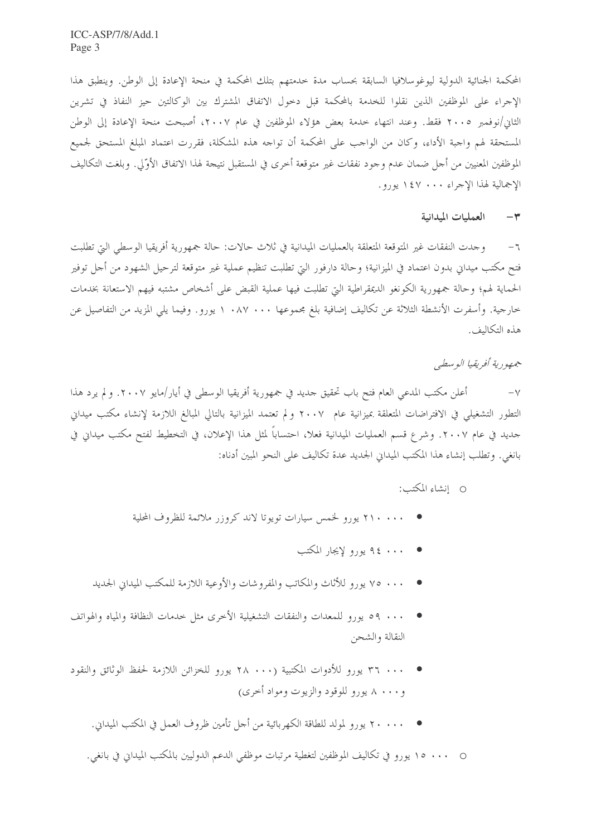المحكمة الجنائية الدولية ليوغوسلافيا السابقة بحساب مدة حدمتهم بتلك المحكمة في منحة الإعادة إلى الوطن. وينطبق هذا الإجراء على الموظفين الذين نقلوا للخدمة بالمحكمة قبل دحول الاتفاق المشترك بين الوكالتين حيز النفاذ في تشرين الثان/نوفمبر ٢٠٠٥ فقط. وعند انتهاء حدمة بعض هؤلاء الموظفين في عام ٢٠٠٧، أصبحت منحة الإعادة إلى الوطن المستحقة لهم واجبة الأداء، وكان من الواجب على المحكمة أن تواجه هذه المشكلة، فقررت اعتماد المبلغ المستحق لجميع الموظفين المعنيين من أجل ضمان عدم وجود نفقات غير متوقعة أخرى في المستقبل نتيجة لهذا الاتفاق الأوّلي. وبلغت التكاليف الإجمالية لهذا الإحراء ١٤٧٠٠ يورو.

#### العمليات المدانية  $-\tau$

٦− وحدت النفقات غير المتوقعة المتعلقة بالعمليات الميدانية في ثلاث حالات: حالة جمهورية أفريقيا الوسطى التي تطلبت فتح مكتب ميداني بدون اعتماد في الميزانية؛ وحالة دارفور التي تطلبت تنظيم عملية غير متوقعة لترحيل الشهود من أجل توفير الحماية لهم؛ وحالة جمهورية الكونغو الديمقراطية التي تطلبت فيها عملية القبض على أشخاص مشتبه فيهم الاستعانة بخدمات خارجية. وأسفرت الأنشطة الثلاثة عن تكاليف إضافية بلغ مجموعها ١٠٨٧ ٠٠ يورو. وفيما يلي المزيد من التفاصيل عن هذه التكاليف.

جهمهو رية أفيريقيا الوسطبي

أعلن مكتب المدعى العام فتح باب تحقيق حديد في جمهورية أفريقيا الوسطى في أيار/مايو ٢٠٠٧. و لم يرد هذا  $-\vee$ التطور التشغيلي في الافتراضات المتعلقة بميزانية عام ٢٠٠٧ ولم تعتمد الميزانية بالتالي المبالغ اللازمة لإنشاء مكتب ميداني جديد في عام ٢٠٠٧. وشرع قسم العمليات الميدانية فعلا، احتساباً لمثل هذا الإعلان، في التخطيط لفتح مكتب ميداني في بانغي. وتطلب إنشاء هذا المكتب الميداني الجديد عدة تكاليف على النحو المبين أدناه:

O انشاء المكتب:

- ، ، ، ، ، Y يورو لخمس سيارات تويوتا لاند كروزر ملائمة للظروف المحلية
	- ، ، ، ٤ 4 يورو لإيجار المكتب
- ٧٥ ٠٠٠ يورو للأثاث والمكاتب والمفروشات والأوعية اللازمة للمكتب الميداني الجديد
- . . . 9م يورو للمعدات والنفقات التشغيلية الأخرى مثل حدمات النظافة والمياه والهواتف النقالة والشحن
- و ۸ ۰۰۰ پورو للوقود والزيوت ومواد أخر*ى)* 
	- ، ، ، ، ٢ يو, و لمولد للطاقة الكهربائية من أحل تأمين ظروف العمل في المكتب الميداني. و

0 ... ١٥ يورو في تكاليف الموظفين لتغطية مرتبات موظفي الدعم الدوليين بالمكتب الميداني في بانغي.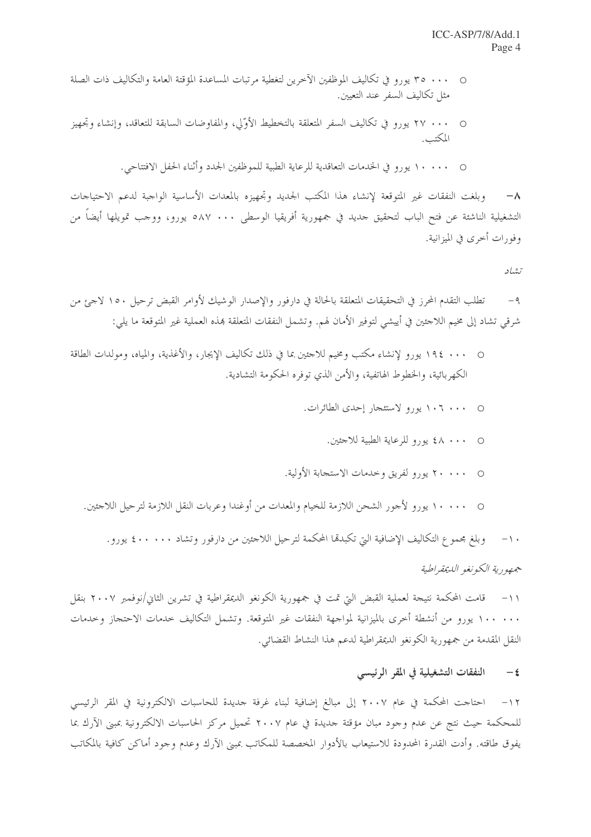- ٢٥ ٠٠٠ يورو في تكاليف الموظفين الآخرين لتغطية مرتبات المساعدة المؤقتة العامة والتكاليف ذات الصلة مثل تكاليف السفر عند التعيين.
- ٢٧ • ٢٧ يورو في تكاليف السفر المتعلقة بالتخطيط الأوّلي، والمفاوضات السابقة للتعاقد، وإنشاء وتجهيز المكتب.
	- • • 1 يورو في الخدمات التعاقدية للرعاية الطبية للموظفين الجدد وأثناء الحفل الافتتاحي.

وبلغت النفقات غير المتوقعة لإنشاء هذا المكتب الجديد وتجهيزه بالمعدات الأساسية الواجبة لدعم الاحتياجات  $-\lambda$ التشغيلية الناشئة عن فتح الباب لتحقيق حديد في جمهورية أفريقيا الوسطى ٥٨٧ ٠٠٠ يورو، ووحب تمويلها أيضاً من وفورات أحرى في الميزانية.

تشاد

تطلب التقدم المحرز في التحقيقات المتعلقة بالحالة في دارفور والإصدار الوشيك لأوامر القبض ترحيل ١٥٠ لاجئ من  $-9$ شرقي تشاد إلى مخيم اللاجئين في أييشي لتوفير الأمان لهم. وتشمل النفقات المتعلقة بمذه العملية غير المتوقعة ما يلي:

- • 19٤ يورو لإنشاء مكتب ومخيم للاجئين بما في ذلك تكاليف الإيجار ، والأغذية، والمياه، ومولدات الطاقة الكهربائية، والخطوط الهاتفية، والأمن الذي توفره الحكومة التشادية.
	- • 1 1 يورو لاستئجار إحدى الطائرات.
		- • ٨٤ يورو للرعاية الطبية للاحثين.
	- • • × يورو لفريق وخدمات الاستجابة الأولية.
	-

١٠– وبلغ مجموع التكاليف الإضافية التي تكبدها المحكمة لترحيل اللاحتين من دارفور وتشاد ٤٠٠ . ٤ يورو .

جههورية الكونغو الديمقراطية

١١– قامت المحكمة نتيجة لعملية القبض التي تمت في جمهورية الكونغو الديمقراطية في تشرين الثاني/نوفمبر ٢٠٠٧ بنقل ١٠٠ ١٠٠ يورو من أنشطة أحرى بالميزانية لمواجهة النفقات غير المتوقعة. وتشمل التكاليف حدمات الاحتجاز وحدمات النقل المقدمة من جمهورية الكونغو الديمقراطية لدعم هذا النشاط القضائي.

#### النفقات التشغيلية في المقر الرئيسي  $-\xi$

١٢– احتاحت المحكمة في عام ٢٠٠٧ إلى مبالغ إضافية لبناء غرفة حديدة للحاسبات الالكترونية في المقر الرئيسي للمحكمة حيث نتج عن عدم وجود مبان مؤقتة جديدة في عام ٢٠٠٧ تحميل مركز الحاسبات الالكترونية بمبنى الآرك بما يفوق طاقته. وأدت القدرة المحدودة للاستيعاب بالأدوار المخصصة للمكاتب بمبين الآرك وعدم وجود أماكن كافية بالمكاتب